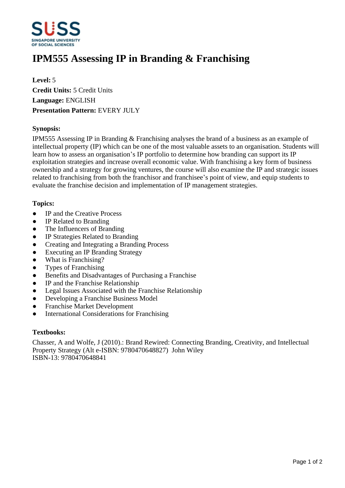

# **IPM555 Assessing IP in Branding & Franchising**

**Level:** 5 **Credit Units:** 5 Credit Units **Language:** ENGLISH **Presentation Pattern:** EVERY JULY

## **Synopsis:**

IPM555 Assessing IP in Branding & Franchising analyses the brand of a business as an example of intellectual property (IP) which can be one of the most valuable assets to an organisation. Students will learn how to assess an organisation's IP portfolio to determine how branding can support its IP exploitation strategies and increase overall economic value. With franchising a key form of business ownership and a strategy for growing ventures, the course will also examine the IP and strategic issues related to franchising from both the franchisor and franchisee's point of view, and equip students to evaluate the franchise decision and implementation of IP management strategies.

### **Topics:**

- IP and the Creative Process
- IP Related to Branding
- The Influencers of Branding
- ƔIP Strategies Related to Branding
- Creating and Integrating a Branding Process
- Executing an IP Branding Strategy
- What is Franchising?
- ƔTypes of Franchising
- Benefits and Disadvantages of Purchasing a Franchise
- IP and the Franchise Relationship
- Legal Issues Associated with the Franchise Relationship
- Developing a Franchise Business Model
- Franchise Market Development
- International Considerations for Franchising

### **Textbooks:**

Chasser, A and Wolfe, J (2010).: Brand Rewired: Connecting Branding, Creativity, and Intellectual Property Strategy (Alt e-ISBN: 9780470648827) John Wiley ISBN-13: 9780470648841